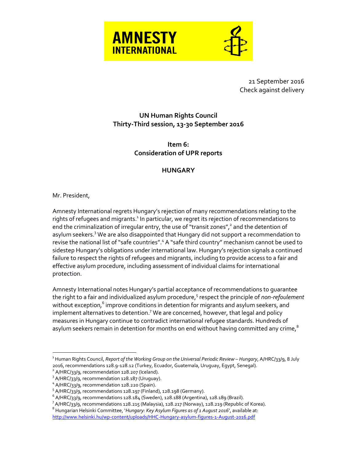



21 September 2016 Check against delivery

## **UN Human Rights Council Thirty-Third session, 13-30 September 2016**

**Item 6: Consideration of UPR reports**

## **HUNGARY**

## Mr. President,

 $\overline{a}$ 

Amnesty International regrets Hungary's rejection of many recommendations relating to the rights of refugees and migrants.<sup>1</sup> In particular, we regret its rejection of recommendations to end the criminalization of irregular entry, the use of "transit zones",<sup>2</sup> and the detention of asylum seekers.<sup>3</sup> We are also disappointed that Hungary did not support a recommendation to revise the national list of "safe countries".<sup>4</sup> A "safe third country" mechanism cannot be used to sidestep Hungary's obligations under international law. Hungary's rejection signals a continued failure to respect the rights of refugees and migrants, including to provide access to a fair and effective asylum procedure, including assessment of individual claims for international protection.

Amnesty International notes Hungary's partial acceptance of recommendations to guarantee the right to a fair and individualized asylum procedure,<sup>5</sup> respect the principle of *non-refoulement* without exception,<sup>6</sup> improve conditions in detention for migrants and asylum seekers**,** and implement alternatives to detention.<sup>7</sup> We are concerned, however, that legal and policy measures in Hungary continue to contradict international refugee standards. Hundreds of asylum seekers remain in detention for months on end without having committed any crime,<sup>8</sup>

<sup>1</sup> Human Rights Council, *Report of the Working Group on the Universal Periodic Review – Hungary*, A/HRC/33/9, 8 July 2016, recommendations 128.9-128.12 (Turkey, Ecuador, Guatemala, Uruguay, Egypt, Senegal).

 $2$  A/HRC/33/9, recommendation 128.207 (Iceland).

<sup>&</sup>lt;sup>3</sup> A/HRC/33/9, recommendation 128.187 (Uruguay).

<sup>&</sup>lt;sup>4</sup> A/HRC/33/9, recommendation 128.220 (Spain).

 $5$  A/HRC/33/9, recommendations 128.197 (Finland), 128.198 (Germany).

 $^6$  A/HRC/33/9, recommendations 128.184 (Sweden), 128.188 (Argentina), 128.189 (Brazil).

<sup>&</sup>lt;sup>7</sup> A/HRC/33/9, recommendations 128.215 (Malaysia), 128.217 (Norway), 128.219 (Republic of Korea).

<sup>8</sup> Hungarian Helsinki Committee, '*Hungary: Key Asylum Figures as of 1 August 2016*', available at: <http://www.helsinki.hu/wp-content/uploads/HHC-Hungary-asylum-figures-1-August-2016.pdf>